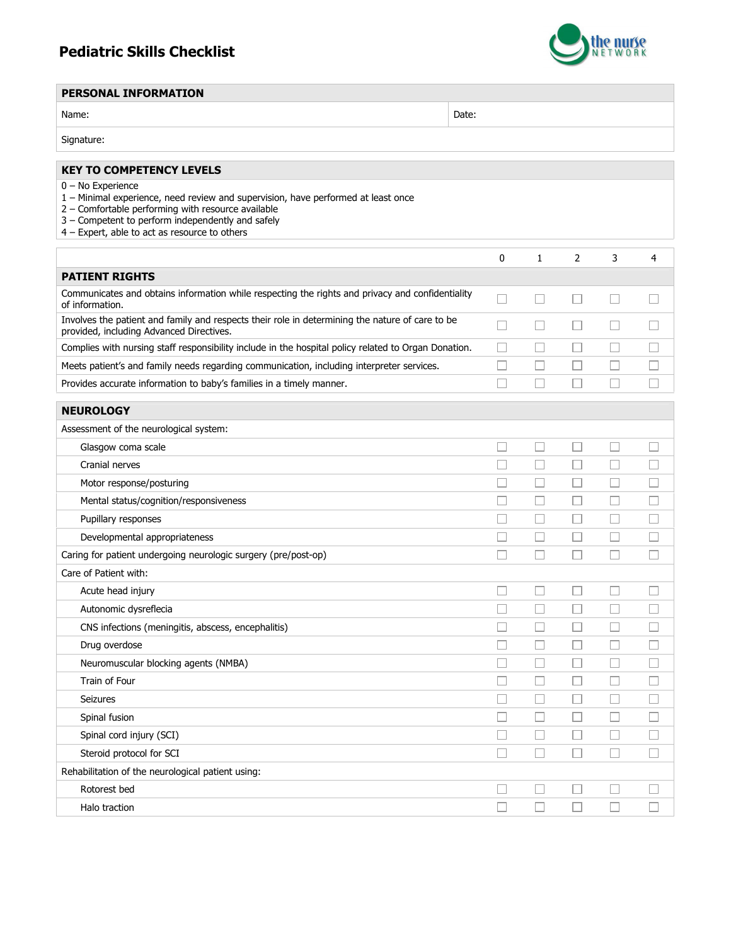## Pediatric Skills Checklist



## PERSONAL INFORMATION

| Name: | Date: |
|-------|-------|
|-------|-------|

Signature:

## KEY TO COMPETENCY LEVELS 0 – No Experience 1 – Minimal experience, need review and supervision, have performed at least once 2 – Comfortable performing with resource available 3 – Competent to perform independently and safely 4 – Expert, able to act as resource to others 0 1 2 3 4 PATIENT RIGHTS Communicates and obtains information while respecting the rights and privacy and confidentiality  $\Box$  $\Box$  $\Box$  $\Box$  $\Box$ of information. Involves the patient and family and respects their role in determining the nature of care to be  $\Box$  $\Box$  $\Box$ П  $\Box$ provided, including Advanced Directives. Complies with nursing staff responsibility include in the hospital policy related to Organ Donation.  $\Box$  $\Box$  $\Box$  $\Box$  $\Box$ Meets patient's and family needs regarding communication, including interpreter services.  $\Box$  $\Box$  $\Box$  $\Box$  $\Box$  $\Box$  $\Box$  $\Box$  $\Box$  $\Box$ Provides accurate information to baby's families in a timely manner. **NEUROLOGY** Assessment of the neurological system:  $\Box$  $\Box$  $\Box$  $\Box$  $\Box$ Glasgow coma scale  $\Box$  $\Box$  $\Box$  $\Box$  $\Box$ Cranial nerves Motor response/posturing  $\Box$  $\Box$  $\Box$  $\Box$  $\Box$ Mental status/cognition/responsiveness П  $\Box$  $\Box$  $\Box$  $\Box$  $\Box$  $\Box$  $\Box$ Pupillary responses  $\Box$  $\Box$ Developmental appropriateness  $\Box$ П  $\Box$  $\Box$  $\Box$ Caring for patient undergoing neurologic surgery (pre/post-op)  $\Box$  $\Box$  $\Box$  $\Box$  $\Box$ Care of Patient with:  $\Box$  $\Box$  $\Box$  $\Box$  $\Box$ Acute head injury Autonomic dysreflecia  $\Box$  $\Box$  $\Box$  $\Box$  $\Box$  $\Box$ П  $\Box$  $\Box$  $\Box$ CNS infections (meningitis, abscess, encephalitis)  $\Box$  $\Box$  $\Box$  $\Box$  $\Box$ Drug overdose Neuromuscular blocking agents (NMBA)  $\Box$  $\Box$  $\Box$  $\Box$  $\Box$ Train of Four П  $\Box$  $\Box$  $\Box$  $\Box$  $\Box$  $\Box$  $\Box$  $\Box$  $\Box$ Seizures  $\Box$  $\Box$  $\Box$  $\Box$  $\Box$ Spinal fusion  $\Box$  $\Box$  $\Box$  $\Box$  $\Box$ Spinal cord injury (SCI) Steroid protocol for SCI  $\Box$  $\Box$  $\Box$  $\Box$  $\Box$ Rehabilitation of the neurological patient using: Rotorest bed  $\Box$  $\Box$  $\Box$  $\Box$  $\Box$  $\Box$  $\Box$  $\Box$ Halo traction  $\Box$  $\Box$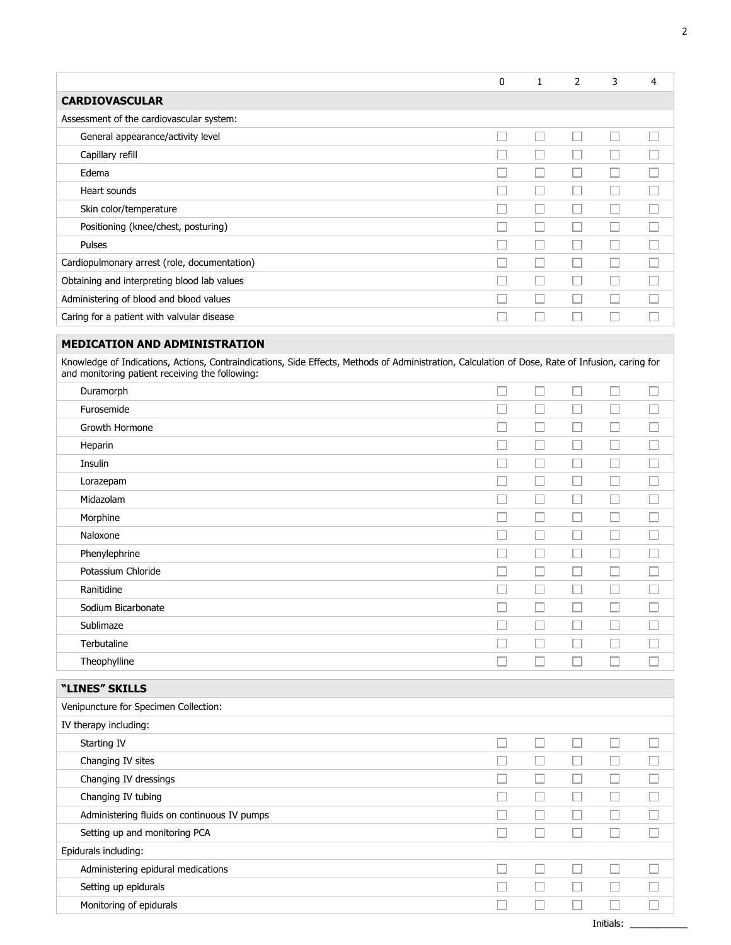|                                                                                                                                                                                          | $\mathbf{0}$ | 1                 | 2                           | 3      | 4                           |
|------------------------------------------------------------------------------------------------------------------------------------------------------------------------------------------|--------------|-------------------|-----------------------------|--------|-----------------------------|
| <b>CARDIOVASCULAR</b>                                                                                                                                                                    |              |                   |                             |        |                             |
| Assessment of the cardiovascular system:                                                                                                                                                 |              |                   |                             |        |                             |
| General appearance/activity level                                                                                                                                                        |              | $\Box$            | $\sim$                      | Ш      | $\mathcal{L}_{\mathcal{A}}$ |
| Capillary refill                                                                                                                                                                         |              |                   | $\Box$                      | $\Box$ | П                           |
| Edema                                                                                                                                                                                    |              | П                 | П                           | $\Box$ | П                           |
| Heart sounds                                                                                                                                                                             |              |                   | L                           | $\Box$ |                             |
| Skin color/temperature                                                                                                                                                                   |              |                   | П                           | П      | П                           |
| Positioning (knee/chest, posturing)                                                                                                                                                      |              | $\vert \ \ \vert$ | П                           | П      | П                           |
| Pulses                                                                                                                                                                                   |              | П                 | П                           | □      | П                           |
| Cardiopulmonary arrest (role, documentation)                                                                                                                                             |              | $\Box$            | П                           | П      | П                           |
| Obtaining and interpreting blood lab values                                                                                                                                              |              | П                 | П                           | П      | П                           |
| Administering of blood and blood values                                                                                                                                                  |              | П                 | П                           | П      | П                           |
| Caring for a patient with valvular disease                                                                                                                                               |              | П                 | П                           | П      | П                           |
|                                                                                                                                                                                          |              |                   |                             |        |                             |
| <b>MEDICATION AND ADMINISTRATION</b><br>Knowledge of Indications, Actions, Contraindications, Side Effects, Methods of Administration, Calculation of Dose, Rate of Infusion, caring for |              |                   |                             |        |                             |
| and monitoring patient receiving the following:                                                                                                                                          |              |                   |                             |        |                             |
| Duramorph                                                                                                                                                                                |              |                   | $\overline{\phantom{a}}$    | . . I  | Ш                           |
| Furosemide                                                                                                                                                                               |              | □                 | П                           | П      | П                           |
| Growth Hormone                                                                                                                                                                           |              | $\vert \ \ \vert$ | П                           | П      |                             |
| Heparin                                                                                                                                                                                  |              | П                 | П                           | П      | П                           |
| Insulin                                                                                                                                                                                  |              | П                 | П                           | П      | П                           |
| Lorazepam                                                                                                                                                                                |              | П                 | П                           | П      | П                           |
| Midazolam                                                                                                                                                                                |              | П                 | П                           | П      | П                           |
| Morphine                                                                                                                                                                                 |              | П                 | П                           | $\Box$ | П                           |
| Naloxone                                                                                                                                                                                 |              |                   | П                           | П      | П                           |
| Phenylephrine                                                                                                                                                                            |              |                   | Г                           |        |                             |
| Potassium Chloride                                                                                                                                                                       |              |                   | ш                           | п      |                             |
| Ranitidine                                                                                                                                                                               |              |                   |                             |        |                             |
| Sodium Bicarbonate                                                                                                                                                                       |              |                   |                             |        |                             |
| Sublimaze                                                                                                                                                                                |              |                   |                             |        |                             |
| Terbutaline                                                                                                                                                                              |              |                   |                             |        |                             |
| Theophylline                                                                                                                                                                             |              |                   |                             | П      |                             |
| "LINES" SKILLS                                                                                                                                                                           |              |                   |                             |        |                             |
| Venipuncture for Specimen Collection:                                                                                                                                                    |              |                   |                             |        |                             |
| IV therapy including:                                                                                                                                                                    |              |                   |                             |        |                             |
| Starting IV                                                                                                                                                                              |              | $\Box$            | П                           | $\sim$ | П                           |
| Changing IV sites                                                                                                                                                                        |              | □                 | □                           | □      | $\Box$                      |
| Changing IV dressings                                                                                                                                                                    |              | П                 | □                           | □      | П                           |
| Changing IV tubing                                                                                                                                                                       |              | $\Box$            | $\Box$                      | $\Box$ | □                           |
| Administering fluids on continuous IV pumps                                                                                                                                              |              |                   | $\sim$                      | $\Box$ | $\Box$                      |
| Setting up and monitoring PCA                                                                                                                                                            |              |                   | $\Box$                      | П      | $\Box$                      |
| Epidurals including:                                                                                                                                                                     |              |                   |                             |        |                             |
| Administering epidural medications                                                                                                                                                       |              |                   | П                           | П      | □                           |
|                                                                                                                                                                                          |              |                   |                             |        |                             |
|                                                                                                                                                                                          |              |                   | $\mathcal{L}_{\mathcal{A}}$ |        |                             |
| Setting up epidurals<br>Monitoring of epidurals                                                                                                                                          |              |                   |                             | П      | $\Box$                      |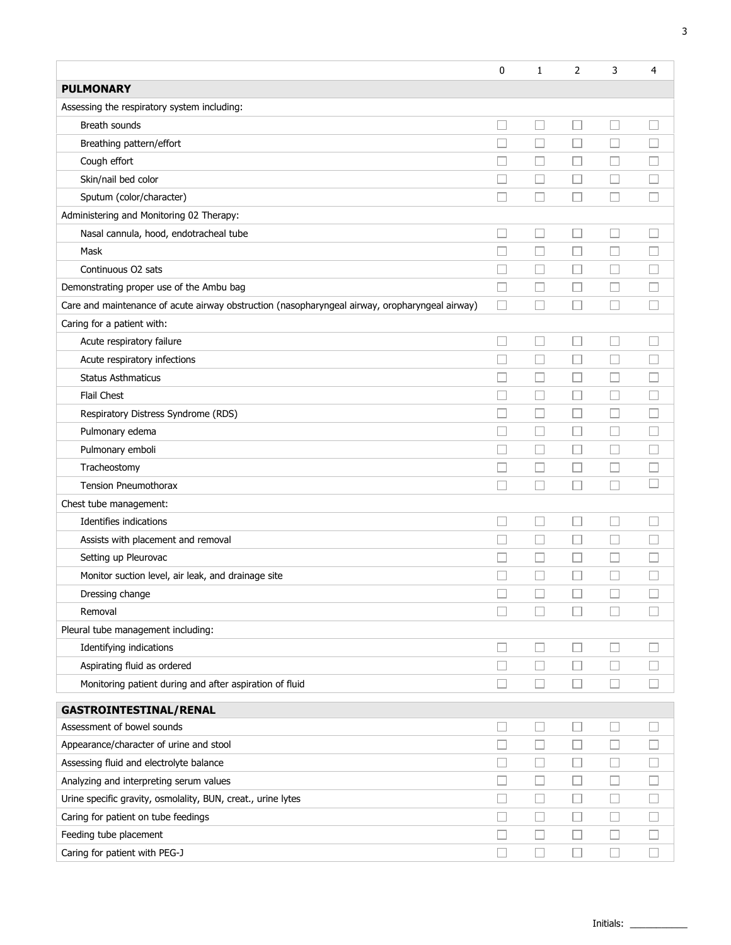|                                                                                                | 0      | 1      | 2                        | 3                        | 4      |
|------------------------------------------------------------------------------------------------|--------|--------|--------------------------|--------------------------|--------|
| <b>PULMONARY</b>                                                                               |        |        |                          |                          |        |
| Assessing the respiratory system including:                                                    |        |        |                          |                          |        |
| Breath sounds                                                                                  | □      | $\Box$ | П                        | П                        |        |
| Breathing pattern/effort                                                                       |        | $\Box$ |                          | ш                        |        |
| Cough effort                                                                                   |        | $\Box$ | $\Box$                   | $\Box$                   |        |
| Skin/nail bed color                                                                            |        | $\Box$ | П                        | П                        |        |
| Sputum (color/character)                                                                       |        | □      |                          | П                        |        |
| Administering and Monitoring 02 Therapy:                                                       |        |        |                          |                          |        |
| Nasal cannula, hood, endotracheal tube                                                         |        | $\Box$ | $\Box$                   | $\Box$                   |        |
| Mask                                                                                           |        | □      |                          | □                        |        |
| Continuous O2 sats                                                                             |        | L      | $\Box$                   | □                        |        |
| Demonstrating proper use of the Ambu bag                                                       |        | □      |                          | Ш                        |        |
| Care and maintenance of acute airway obstruction (nasopharyngeal airway, oropharyngeal airway) | $\Box$ | $\Box$ |                          | u                        |        |
| Caring for a patient with:                                                                     |        |        |                          |                          |        |
| Acute respiratory failure                                                                      |        | □      | Ш                        | Ш                        |        |
| Acute respiratory infections                                                                   |        | П      | $\sim$                   | $\sim$                   |        |
| <b>Status Asthmaticus</b>                                                                      |        | $\Box$ | Ш                        | u                        |        |
| Flail Chest                                                                                    |        | □      | П                        | □                        |        |
| Respiratory Distress Syndrome (RDS)                                                            |        | $\Box$ | ப                        | $\Box$                   |        |
| Pulmonary edema                                                                                |        | $\sim$ | $\overline{\phantom{a}}$ | П                        |        |
| Pulmonary emboli                                                                               |        | Ш      | Ш                        | $\Box$                   |        |
| Tracheostomy                                                                                   |        | □      | □                        | □                        |        |
| <b>Tension Pneumothorax</b>                                                                    |        | □      | $\Box$                   | L.                       |        |
| Chest tube management:                                                                         |        |        |                          |                          |        |
| Identifies indications                                                                         |        | □      | Ш                        | $\Box$                   |        |
| Assists with placement and removal                                                             | П      | □      | $\Box$                   | $\Box$                   |        |
| Setting up Pleurovac                                                                           |        | $\sim$ | $\Box$                   | $\overline{\phantom{a}}$ |        |
| Monitor suction level, air leak, and drainage site                                             |        | $\Box$ |                          | $\Box$                   |        |
| Dressing change                                                                                |        |        |                          |                          |        |
| Removal                                                                                        | $\Box$ | $\Box$ | $\Box$                   | $\Box$                   | П      |
| Pleural tube management including:                                                             |        |        |                          |                          |        |
| Identifying indications                                                                        | $\Box$ | $\Box$ | $\Box$                   | $\Box$                   | П      |
| Aspirating fluid as ordered                                                                    | П      | $\Box$ | $\Box$                   | $\Box$                   |        |
| Monitoring patient during and after aspiration of fluid                                        | $\Box$ | $\Box$ | $\Box$                   | $\Box$                   |        |
| <b>GASTROINTESTINAL/RENAL</b>                                                                  |        |        |                          |                          |        |
| Assessment of bowel sounds                                                                     | □      | $\Box$ | $\Box$                   | $\Box$                   |        |
| Appearance/character of urine and stool                                                        | $\Box$ | $\Box$ | $\Box$                   | $\Box$                   |        |
| Assessing fluid and electrolyte balance                                                        | $\Box$ | $\Box$ | $\Box$                   | $\Box$                   |        |
| Analyzing and interpreting serum values                                                        |        | $\Box$ | □                        | □                        |        |
| Urine specific gravity, osmolality, BUN, creat., urine lytes                                   |        | $\Box$ | $\Box$                   | $\Box$                   |        |
| Caring for patient on tube feedings                                                            |        | $\Box$ | $\Box$                   | $\Box$                   | $\Box$ |
| Feeding tube placement                                                                         |        | $\Box$ | $\Box$                   | $\Box$                   |        |
| Caring for patient with PEG-J                                                                  | П      | $\Box$ | □                        | □                        | □      |
|                                                                                                |        |        |                          |                          |        |